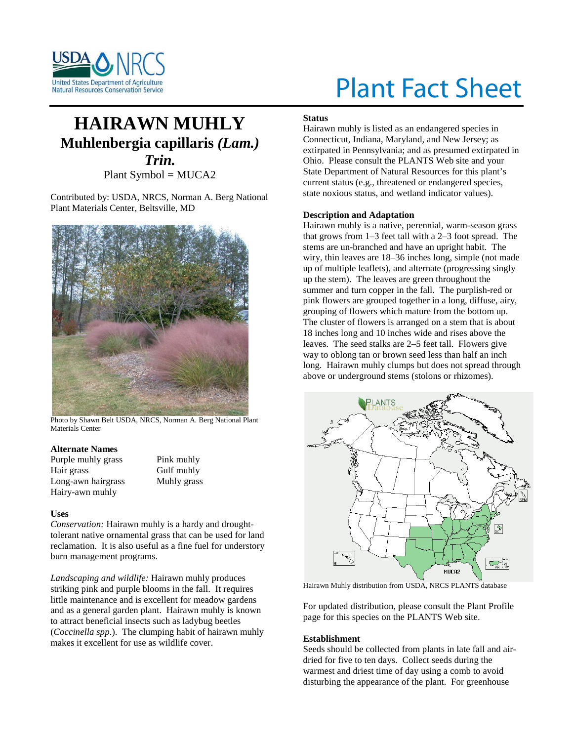

# Plant Fact Sheet

# **HAIRAWN MUHLY Muhlenbergia capillaris** *(Lam.) Trin.* Plant Symbol = MUCA2

Contributed by: USDA, NRCS, Norman A. Berg National Plant Materials Center, Beltsville, MD



Photo by Shawn Belt USDA, NRCS, Norman A. Berg National Plant Materials Center

# **Alternate Names**

| Purple muhly grass |
|--------------------|
| Hair grass         |
| Long-awn hairgrass |
| Hairy-awn muhly    |

Pink muhly Gulf muhly Muhly grass

#### **Uses**

*Conservation:* Hairawn muhly is a hardy and droughttolerant native ornamental grass that can be used for land reclamation. It is also useful as a fine fuel for understory burn management programs.

*Landscaping and wildlife:* Hairawn muhly produces striking pink and purple blooms in the fall. It requires little maintenance and is excellent for meadow gardens and as a general garden plant. Hairawn muhly is known to attract beneficial insects such as ladybug beetles (*Coccinella spp*.). The clumping habit of hairawn muhly makes it excellent for use as wildlife cover.

## **Status**

Hairawn muhly is listed as an endangered species in Connecticut, Indiana, Maryland, and New Jersey; as extirpated in Pennsylvania; and as presumed extirpated in Ohio. Please consult the PLANTS Web site and your State Department of Natural Resources for this plant's current status (e.g., threatened or endangered species, state noxious status, and wetland indicator values).

## **Description and Adaptation**

Hairawn muhly is a native, perennial, warm-season grass that grows from 1–3 feet tall with a 2–3 foot spread. The stems are un-branched and have an upright habit. The wiry, thin leaves are 18–36 inches long, simple (not made up of multiple leaflets), and alternate (progressing singly up the stem). The leaves are green throughout the summer and turn copper in the fall. The purplish-red or pink flowers are grouped together in a long, diffuse, airy, grouping of flowers which mature from the bottom up. The cluster of flowers is arranged on a stem that is about 18 inches long and 10 inches wide and rises above the leaves. The seed stalks are 2–5 feet tall. Flowers give way to oblong tan or brown seed less than half an inch long. Hairawn muhly clumps but does not spread through above or underground stems (stolons or rhizomes).



Hairawn Muhly distribution from USDA, NRCS PLANTS database

For updated distribution, please consult the Plant Profile page for this species on the PLANTS Web site.

#### **Establishment**

Seeds should be collected from plants in late fall and airdried for five to ten days. Collect seeds during the warmest and driest time of day using a comb to avoid disturbing the appearance of the plant. For greenhouse